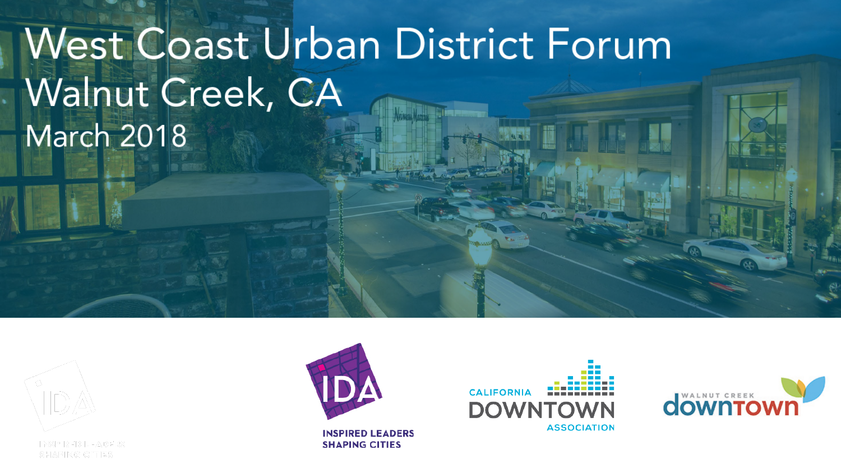### West Coast Urban District Forum Walnut Creek, CA **March 2018**



RED LEADERS SHAPING CITIES



**INSPIRED LEADERS SHAPING CITIES** 



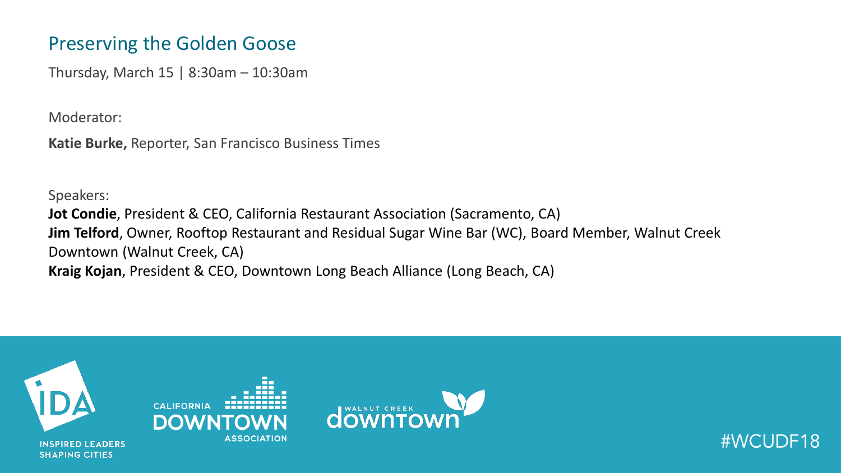### Preserving the Golden Goose

Thursday, March 15 | 8:30am – 10:30am

Moderator:

**Katie Burke,** Reporter, San Francisco Business Times

Speakers:

**Jot Condie**, President & CEO, California Restaurant Association (Sacramento, CA) **Jim Telford**, Owner, Rooftop Restaurant and Residual Sugar Wine Bar (WC), Board Member, Walnut Creek Downtown (Walnut Creek, CA) **Kraig Kojan**, President & CEO, Downtown Long Beach Alliance (Long Beach, CA)

#WCUDF18

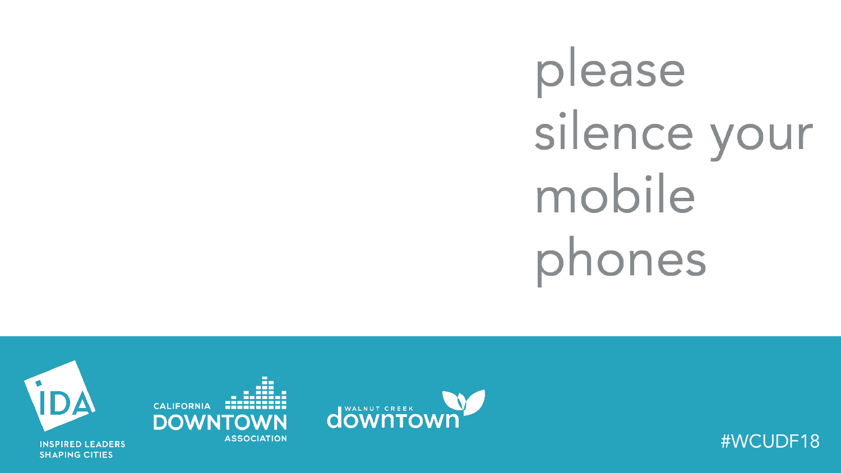please silence your mobile phones



**INSPIRED LEADERS SHAPING CITIES** 





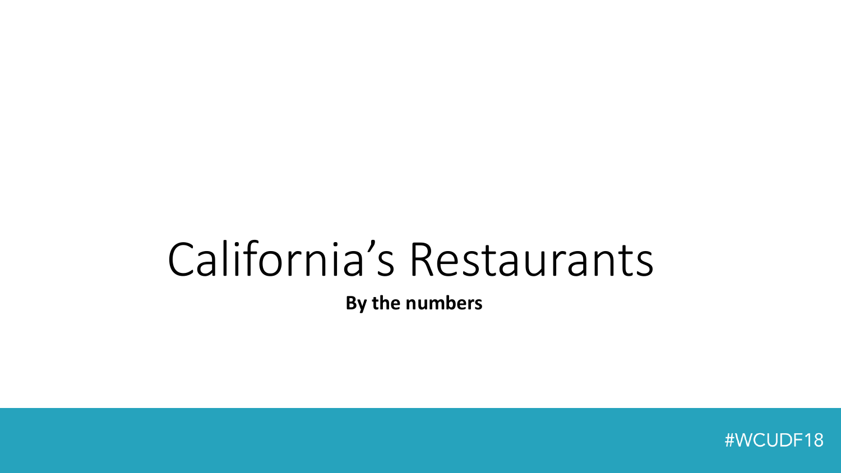### California's Restaurants

**By the numbers**

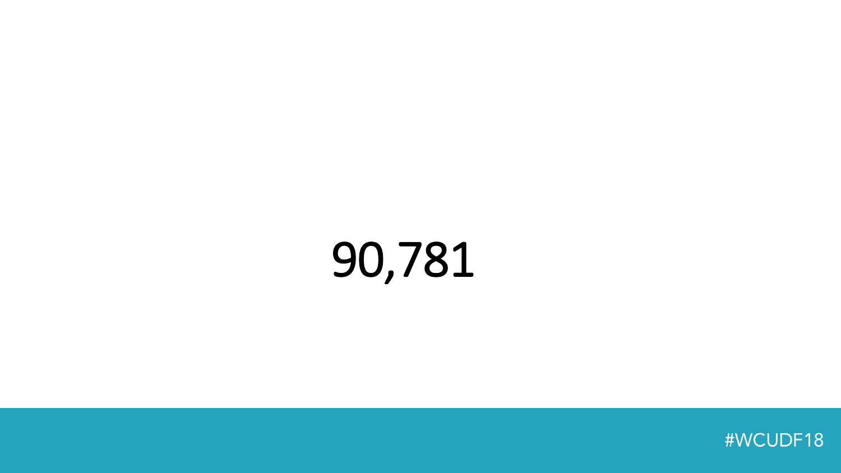

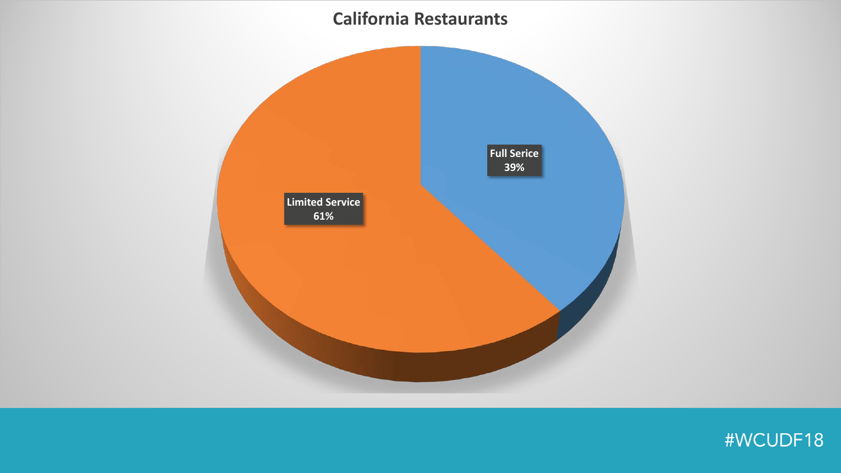#### **California Restaurants**



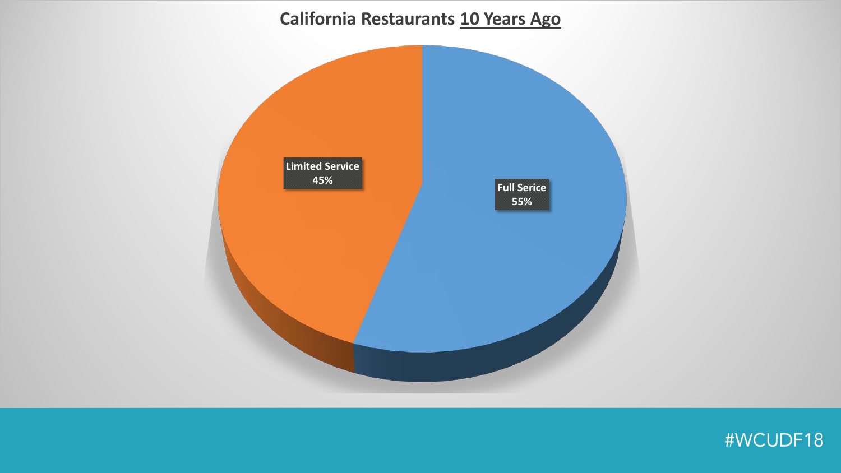### **California Restaurants 10 Years Ago**



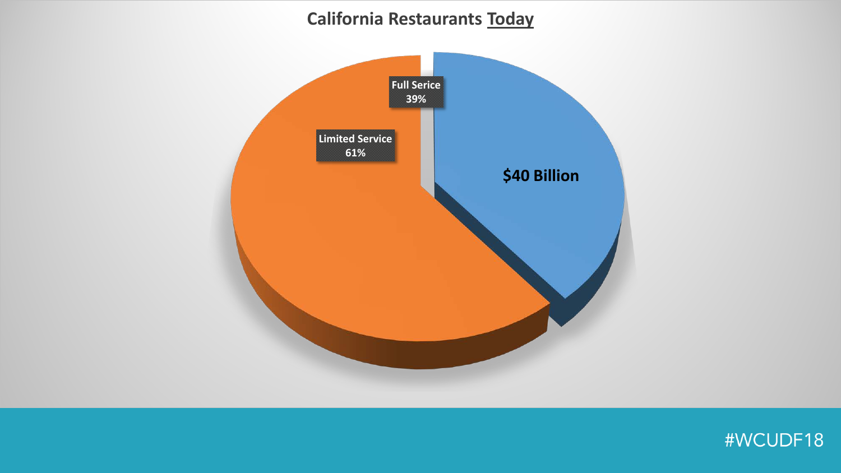### **California Restaurants Today**



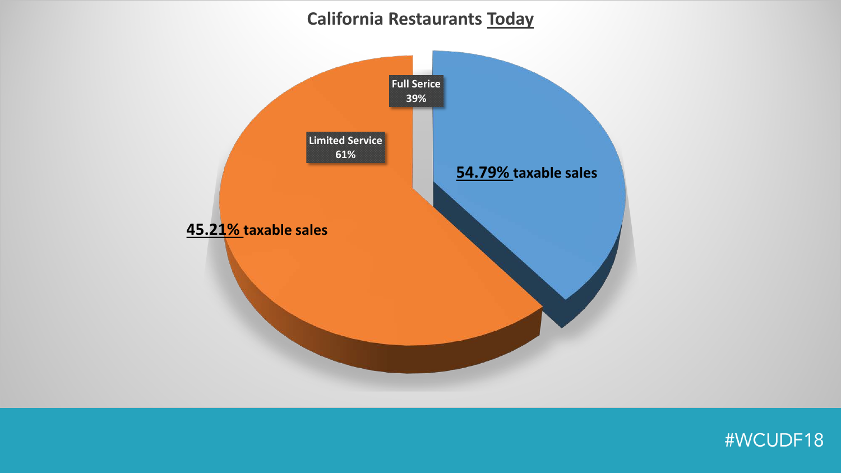#### **California Restaurants Today**



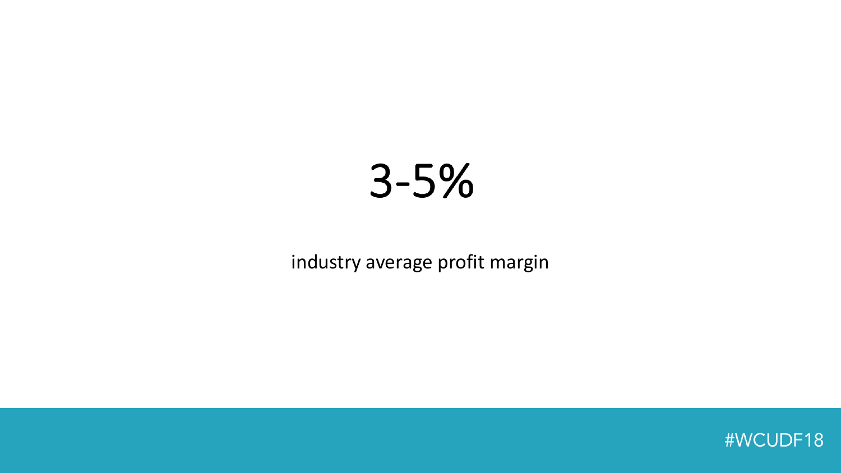### $3 - 5%$

industry average profit margin

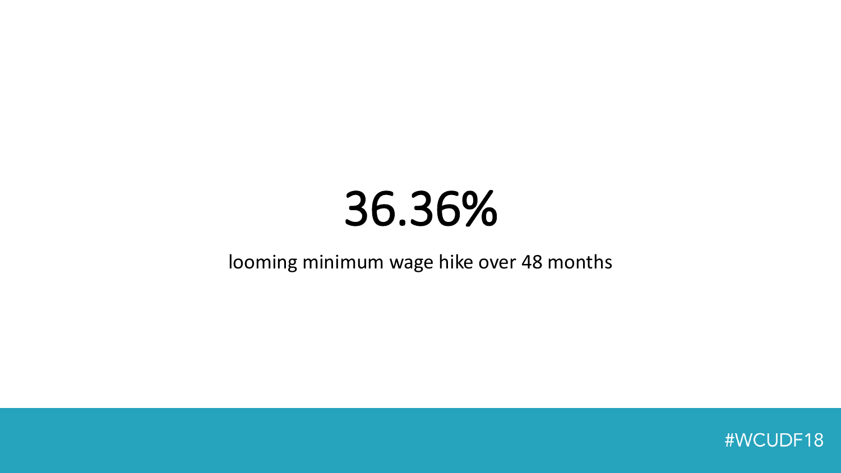### 36.36%

### looming minimum wage hike over 48 months

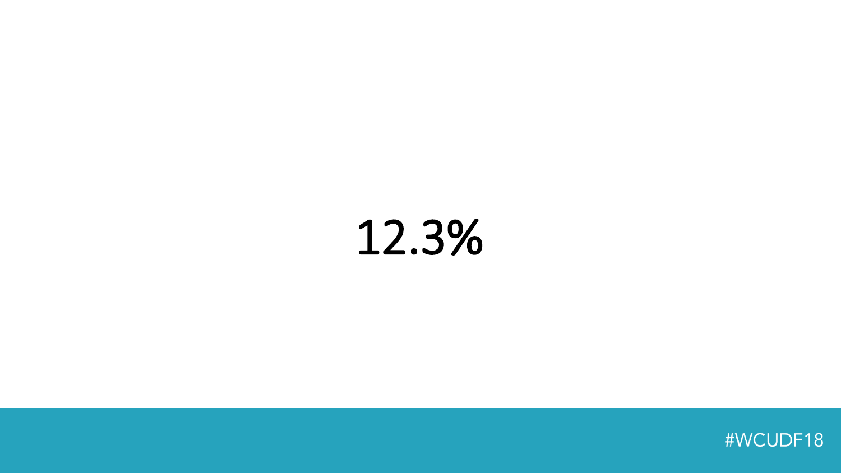

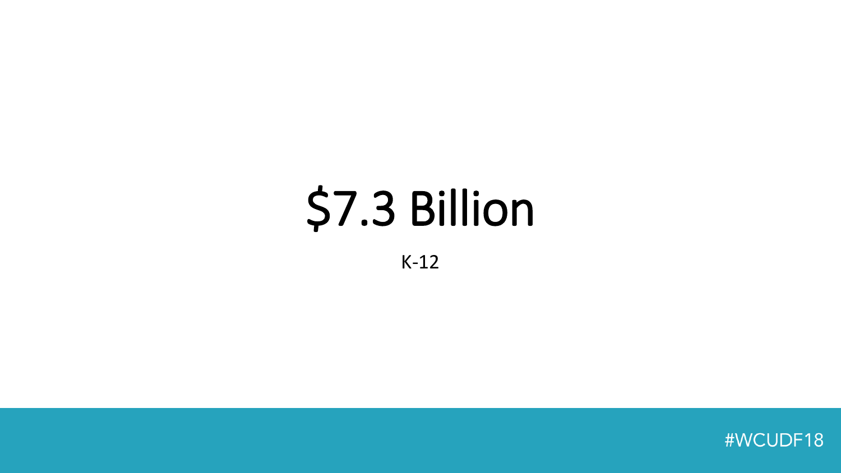# \$7.3 Billion

 $K-12$ 

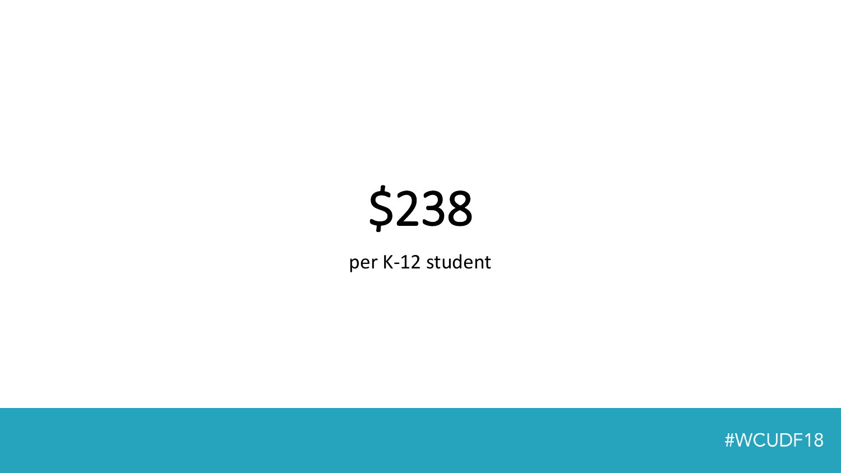## \$238

per K-12 student

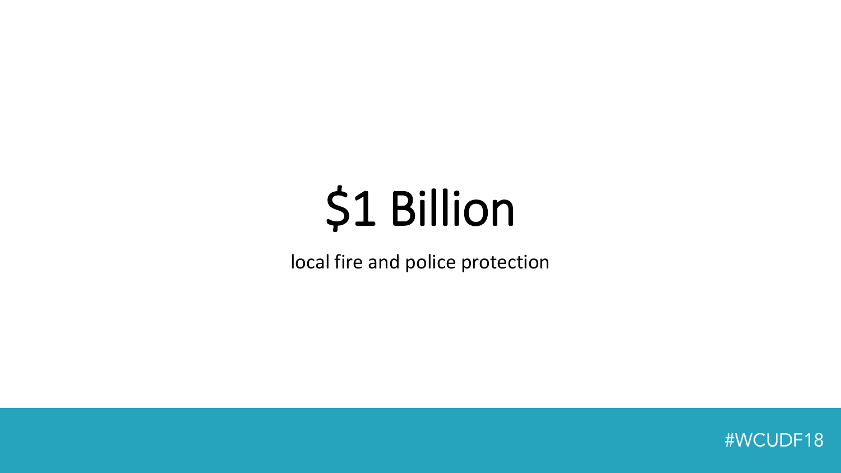# \$1 Billion

local fire and police protection

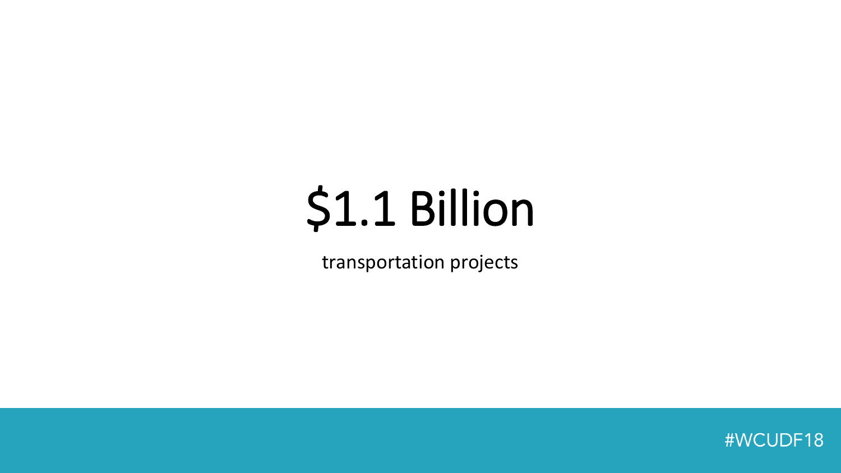## \$1.1 Billion

transportation projects

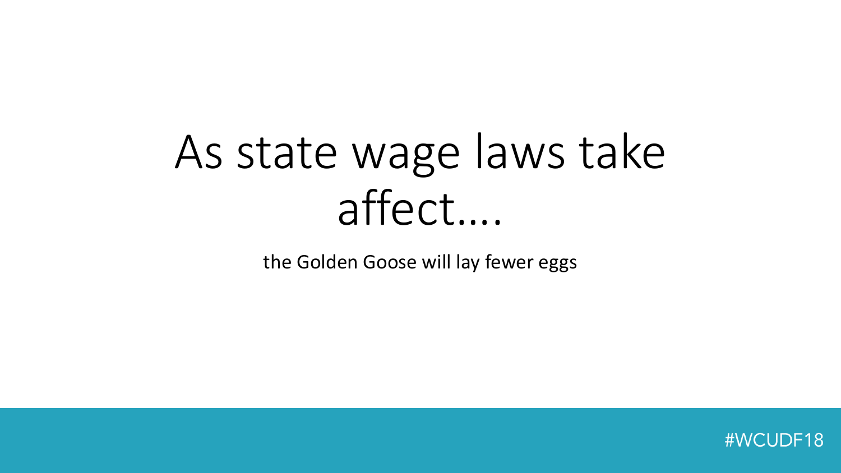## As state wage laws take affect….

the Golden Goose will lay fewer eggs